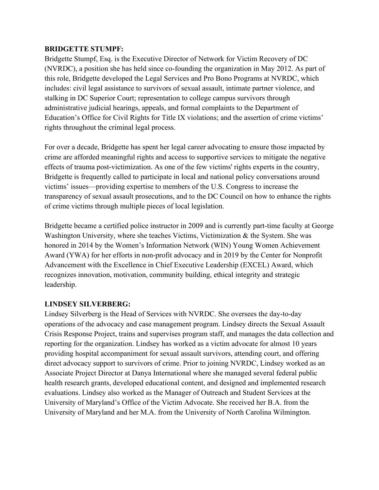## **BRIDGETTE STUMPF:**

Bridgette Stumpf, Esq. is the Executive Director of Network for Victim Recovery of DC (NVRDC), a position she has held since co-founding the organization in May 2012. As part of this role, Bridgette developed the Legal Services and Pro Bono Programs at NVRDC, which includes: civil legal assistance to survivors of sexual assault, intimate partner violence, and stalking in DC Superior Court; representation to college campus survivors through administrative judicial hearings, appeals, and formal complaints to the Department of Education's Office for Civil Rights for Title IX violations; and the assertion of crime victims' rights throughout the criminal legal process.

For over a decade, Bridgette has spent her legal career advocating to ensure those impacted by crime are afforded meaningful rights and access to supportive services to mitigate the negative effects of trauma post-victimization. As one of the few victims' rights experts in the country, Bridgette is frequently called to participate in local and national policy conversations around victims' issues—providing expertise to members of the U.S. Congress to increase the transparency of sexual assault prosecutions, and to the DC Council on how to enhance the rights of crime victims through multiple pieces of local legislation.

Bridgette became a certified police instructor in 2009 and is currently part-time faculty at George Washington University, where she teaches Victims, Victimization & the System. She was honored in 2014 by the Women's Information Network (WIN) Young Women Achievement Award (YWA) for her efforts in non-profit advocacy and in 2019 by the Center for Nonprofit Advancement with the Excellence in Chief Executive Leadership (EXCEL) Award, which recognizes innovation, motivation, community building, ethical integrity and strategic leadership.

## **LINDSEY SILVERBERG:**

Lindsey Silverberg is the Head of Services with NVRDC. She oversees the day-to-day operations of the advocacy and case management program. Lindsey directs the Sexual Assault Crisis Response Project, trains and supervises program staff, and manages the data collection and reporting for the organization. Lindsey has worked as a victim advocate for almost 10 years providing hospital accompaniment for sexual assault survivors, attending court, and offering direct advocacy support to survivors of crime. Prior to joining NVRDC, Lindsey worked as an Associate Project Director at Danya International where she managed several federal public health research grants, developed educational content, and designed and implemented research evaluations. Lindsey also worked as the Manager of Outreach and Student Services at the University of Maryland's Office of the Victim Advocate. She received her B.A. from the University of Maryland and her M.A. from the University of North Carolina Wilmington.